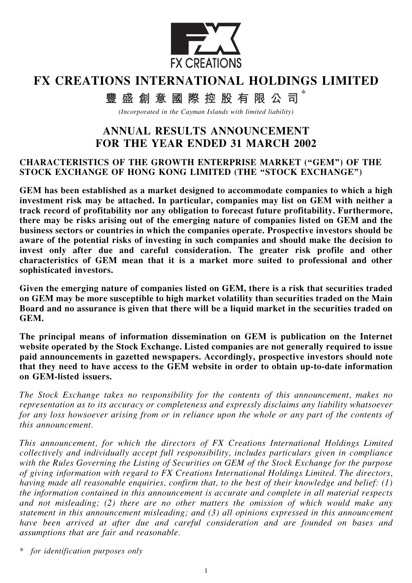

# FX CREATIONS INTERNATIONAL HOLDINGS LIMITED

\* 豐盛創意國際控股有限公司

(Incorporated in the Cayman Islands with limited liability)

# ANNUAL RESULTS ANNOUNCEMENT FOR THE YEAR ENDED 31 MARCH 2002

#### CHARACTERISTICS OF THE GROWTH ENTERPRISE MARKET (''GEM'') OF THE STOCK EXCHANGE OF HONG KONG LIMITED (THE "STOCK EXCHANGE")

GEM has been established as a market designed to accommodate companies to which a high investment risk may be attached. In particular, companies may list on GEM with neither a track record of profitability nor any obligation to forecast future profitability. Furthermore, there may be risks arising out of the emerging nature of companies listed on GEM and the business sectors or countries in which the companies operate. Prospective investors should be aware of the potential risks of investing in such companies and should make the decision to invest only after due and careful consideration. The greater risk profile and other characteristics of GEM mean that it is a market more suited to professional and other sophisticated investors.

Given the emerging nature of companies listed on GEM, there is a risk that securities traded on GEM may be more susceptible to high market volatility than securities traded on the Main Board and no assurance is given that there will be a liquid market in the securities traded on GEM.

The principal means of information dissemination on GEM is publication on the Internet website operated by the Stock Exchange. Listed companies are not generally required to issue paid announcements in gazetted newspapers. Accordingly, prospective investors should note that they need to have access to the GEM website in order to obtain up-to-date information on GEM-listed issuers.

The Stock Exchange takes no responsibility for the contents of this announcement, makes no representation as to its accuracy or completeness and expressly disclaims any liability whatsoever for any loss howsoever arising from or in reliance upon the whole or any part of the contents of this announcement.

This announcement, for which the directors of FX Creations International Holdings Limited collectively and individually accept full responsibility, includes particulars given in compliance with the Rules Governing the Listing of Securities on GEM of the Stock Exchange for the purpose of giving information with regard to FX Creations International Holdings Limited. The directors, having made all reasonable enquiries, confirm that, to the best of their knowledge and belief: (1) the information contained in this announcement is accurate and complete in all material respects and not misleading; (2) there are no other matters the omission of which would make any statement in this announcement misleading; and (3) all opinions expressed in this announcement have been arrived at after due and careful consideration and are founded on bases and assumptions that are fair and reasonable.

\* for identification purposes only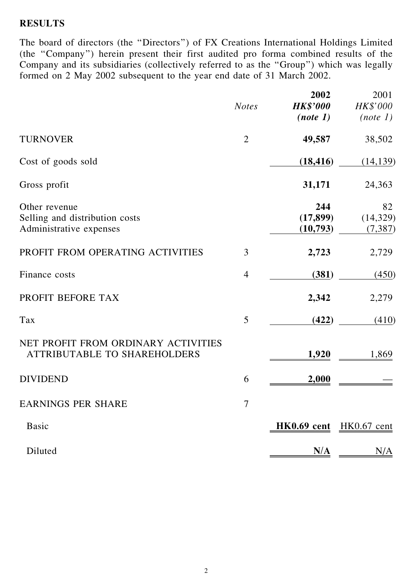### RESULTS

The board of directors (the ''Directors'') of FX Creations International Holdings Limited (the ''Company'') herein present their first audited pro forma combined results of the Company and its subsidiaries (collectively referred to as the ''Group'') which was legally formed on 2 May 2002 subsequent to the year end date of 31 March 2002.

|                                                                            | <b>Notes</b>   | 2002<br><b>HK\$'000</b><br>(note 1) | 2001<br>HK\$'000<br>(note 1) |
|----------------------------------------------------------------------------|----------------|-------------------------------------|------------------------------|
| <b>TURNOVER</b>                                                            | $\overline{2}$ | 49,587                              | 38,502                       |
| Cost of goods sold                                                         |                | (18, 416)                           | (14, 139)                    |
| Gross profit                                                               |                | 31,171                              | 24,363                       |
| Other revenue<br>Selling and distribution costs<br>Administrative expenses |                | 244<br>(17, 899)<br>(10,793)        | 82<br>(14, 329)<br>(7, 387)  |
| PROFIT FROM OPERATING ACTIVITIES                                           | 3              | 2,723                               | 2,729                        |
| Finance costs                                                              | $\overline{4}$ | (381)                               | (450)                        |
| PROFIT BEFORE TAX                                                          |                | 2,342                               | 2,279                        |
| Tax                                                                        | 5              | (422)                               | (410)                        |
| NET PROFIT FROM ORDINARY ACTIVITIES<br><b>ATTRIBUTABLE TO SHAREHOLDERS</b> |                | 1,920                               | 1,869                        |
| <b>DIVIDEND</b>                                                            | 6              | 2,000                               |                              |
| <b>EARNINGS PER SHARE</b>                                                  | 7              |                                     |                              |
| <b>Basic</b>                                                               |                | HK0.69 cent HK0.67 cent             |                              |
| Diluted                                                                    |                | N/A                                 | N/A                          |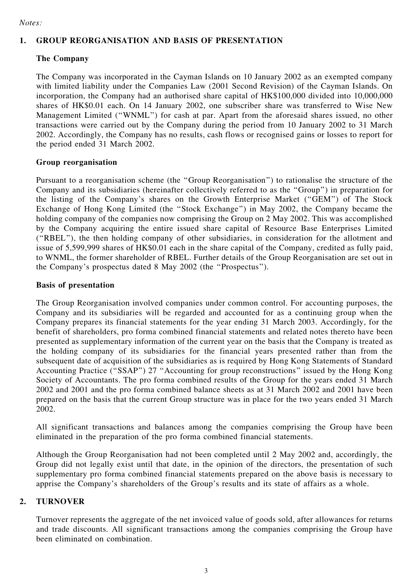Notes:

#### 1. GROUP REORGANISATION AND BASIS OF PRESENTATION

#### The Company

The Company was incorporated in the Cayman Islands on 10 January 2002 as an exempted company with limited liability under the Companies Law (2001 Second Revision) of the Cayman Islands. On incorporation, the Company had an authorised share capital of HK\$100,000 divided into 10,000,000 shares of HK\$0.01 each. On 14 January 2002, one subscriber share was transferred to Wise New Management Limited (''WNML'') for cash at par. Apart from the aforesaid shares issued, no other transactions were carried out by the Company during the period from 10 January 2002 to 31 March 2002. Accordingly, the Company has no results, cash flows or recognised gains or losses to report for the period ended 31 March 2002.

#### Group reorganisation

Pursuant to a reorganisation scheme (the ''Group Reorganisation'') to rationalise the structure of the Company and its subsidiaries (hereinafter collectively referred to as the ''Group'') in preparation for the listing of the Company's shares on the Growth Enterprise Market (''GEM'') of The Stock Exchange of Hong Kong Limited (the ''Stock Exchange'') in May 2002, the Company became the holding company of the companies now comprising the Group on 2 May 2002. This was accomplished by the Company acquiring the entire issued share capital of Resource Base Enterprises Limited (''RBEL''), the then holding company of other subsidiaries, in consideration for the allotment and issue of 5,599,999 shares of HK\$0.01 each in the share capital of the Company, credited as fully paid, to WNML, the former shareholder of RBEL. Further details of the Group Reorganisation are set out in the Company's prospectus dated 8 May 2002 (the ''Prospectus'').

#### Basis of presentation

The Group Reorganisation involved companies under common control. For accounting purposes, the Company and its subsidiaries will be regarded and accounted for as a continuing group when the Company prepares its financial statements for the year ending 31 March 2003. Accordingly, for the benefit of shareholders, pro forma combined financial statements and related notes thereto have been presented as supplementary information of the current year on the basis that the Company is treated as the holding company of its subsidiaries for the financial years presented rather than from the subsequent date of acquisition of the subsidiaries as is required by Hong Kong Statements of Standard Accounting Practice (''SSAP'') 27 ''Accounting for group reconstructions'' issued by the Hong Kong Society of Accountants. The pro forma combined results of the Group for the years ended 31 March 2002 and 2001 and the pro forma combined balance sheets as at 31 March 2002 and 2001 have been prepared on the basis that the current Group structure was in place for the two years ended 31 March 2002.

All significant transactions and balances among the companies comprising the Group have been eliminated in the preparation of the pro forma combined financial statements.

Although the Group Reorganisation had not been completed until 2 May 2002 and, accordingly, the Group did not legally exist until that date, in the opinion of the directors, the presentation of such supplementary pro forma combined financial statements prepared on the above basis is necessary to apprise the Company's shareholders of the Group's results and its state of affairs as a whole.

#### 2. TURNOVER

Turnover represents the aggregate of the net invoiced value of goods sold, after allowances for returns and trade discounts. All significant transactions among the companies comprising the Group have been eliminated on combination.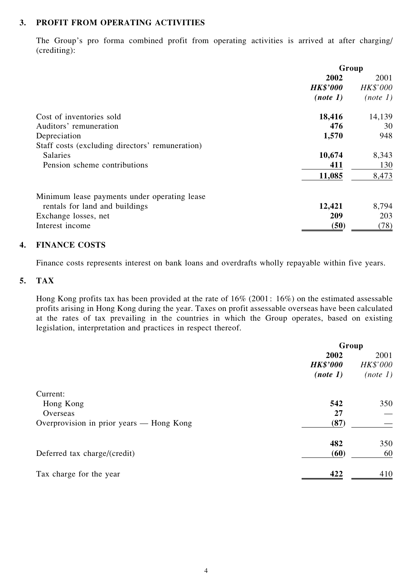#### 3. PROFIT FROM OPERATING ACTIVITIES

The Group's pro forma combined profit from operating activities is arrived at after charging/ (crediting):

|                                                 | Group           |          |  |
|-------------------------------------------------|-----------------|----------|--|
|                                                 | 2002            | 2001     |  |
|                                                 | <b>HK\$'000</b> | HK\$'000 |  |
|                                                 | (note 1)        | (note 1) |  |
| Cost of inventories sold                        | 18,416          | 14,139   |  |
| Auditors' remuneration                          | 476             | 30       |  |
| Depreciation                                    | 1,570           | 948      |  |
| Staff costs (excluding directors' remuneration) |                 |          |  |
| <b>Salaries</b>                                 | 10,674          | 8,343    |  |
| Pension scheme contributions                    | 411             | 130      |  |
|                                                 | 11,085          | 8,473    |  |
| Minimum lease payments under operating lease    |                 |          |  |
| rentals for land and buildings                  | 12,421          | 8,794    |  |
| Exchange losses, net                            | 209             | 203      |  |
| Interest income                                 | (50)            | (78)     |  |

#### 4. FINANCE COSTS

Finance costs represents interest on bank loans and overdrafts wholly repayable within five years.

#### 5. TAX

Hong Kong profits tax has been provided at the rate of 16% (2001: 16%) on the estimated assessable profits arising in Hong Kong during the year. Taxes on profit assessable overseas have been calculated at the rates of tax prevailing in the countries in which the Group operates, based on existing legislation, interpretation and practices in respect thereof.

|                                          | Group           |          |  |
|------------------------------------------|-----------------|----------|--|
|                                          | 2002            | 2001     |  |
|                                          | <b>HK\$'000</b> | HK\$'000 |  |
|                                          | (note 1)        | (note 1) |  |
| Current:                                 |                 |          |  |
| Hong Kong                                | 542             | 350      |  |
| Overseas                                 | 27              |          |  |
| Overprovision in prior years - Hong Kong | (87)            |          |  |
|                                          | 482             | 350      |  |
| Deferred tax charge/(credit)             | (60)            | 60       |  |
| Tax charge for the year                  | 422             | 410      |  |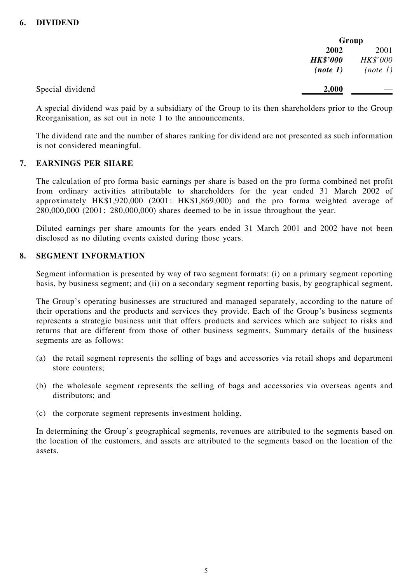|                  | Group           |          |
|------------------|-----------------|----------|
|                  | 2002            | 2001     |
|                  | <b>HK\$'000</b> | HK\$'000 |
|                  | (note 1)        | (note 1) |
| Special dividend | 2,000           |          |

A special dividend was paid by a subsidiary of the Group to its then shareholders prior to the Group Reorganisation, as set out in note 1 to the announcements.

The dividend rate and the number of shares ranking for dividend are not presented as such information is not considered meaningful.

#### 7. EARNINGS PER SHARE

The calculation of pro forma basic earnings per share is based on the pro forma combined net profit from ordinary activities attributable to shareholders for the year ended 31 March 2002 of approximately HK\$1,920,000 (2001: HK\$1,869,000) and the pro forma weighted average of 280,000,000 (2001: 280,000,000) shares deemed to be in issue throughout the year.

Diluted earnings per share amounts for the years ended 31 March 2001 and 2002 have not been disclosed as no diluting events existed during those years.

#### 8. SEGMENT INFORMATION

Segment information is presented by way of two segment formats: (i) on a primary segment reporting basis, by business segment; and (ii) on a secondary segment reporting basis, by geographical segment.

The Group's operating businesses are structured and managed separately, according to the nature of their operations and the products and services they provide. Each of the Group's business segments represents a strategic business unit that offers products and services which are subject to risks and returns that are different from those of other business segments. Summary details of the business segments are as follows:

- (a) the retail segment represents the selling of bags and accessories via retail shops and department store counters;
- (b) the wholesale segment represents the selling of bags and accessories via overseas agents and distributors; and
- (c) the corporate segment represents investment holding.

In determining the Group's geographical segments, revenues are attributed to the segments based on the location of the customers, and assets are attributed to the segments based on the location of the assets.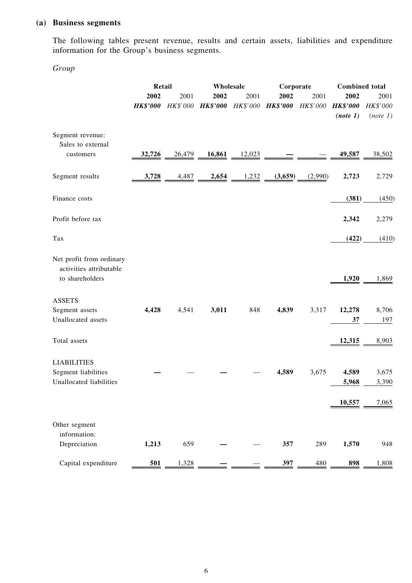### (a) Business segments

The following tables present revenue, results and certain assets, liabilities and expenditure information for the Group's business segments.

Group

|                                                                        | Retail                  |                         |                         | Wholesale<br>Corporate  |                         | <b>Combined</b> total |                         |                    |
|------------------------------------------------------------------------|-------------------------|-------------------------|-------------------------|-------------------------|-------------------------|-----------------------|-------------------------|--------------------|
|                                                                        | 2002<br><b>HK\$'000</b> | 2001<br><b>HK\$'000</b> | 2002<br><b>HK\$'000</b> | 2001<br><b>HK\$'000</b> | 2002<br><b>HK\$'000</b> | 2001<br>HK\$'000      | 2002<br><b>HK\$'000</b> | 2001<br>HK\$'000   |
| Segment revenue:<br>Sales to external<br>customers                     | 32,726                  | 26,479                  | 16,861                  | 12,023                  |                         |                       | (note 1)<br>49,587      | (note 1)<br>38,502 |
| Segment results                                                        | 3,728                   | 4,487                   | 2,654                   | 1,232                   | (3,659)                 | (2,990)               | 2,723                   | 2,729              |
| Finance costs                                                          |                         |                         |                         |                         |                         |                       | (381)                   | (450)              |
| Profit before tax                                                      |                         |                         |                         |                         |                         |                       | 2,342                   | 2,279              |
| Tax                                                                    |                         |                         |                         |                         |                         |                       | (422)                   | (410)              |
| Net profit from ordinary<br>activities attributable<br>to shareholders |                         |                         |                         |                         |                         |                       | 1,920                   | 1,869              |
| <b>ASSETS</b><br>Segment assets<br>Unallocated assets                  | 4,428                   | 4,541                   | 3,011                   | 848                     | 4,839                   | 3,317                 | 12,278<br>37            | 8,706<br>197       |
| Total assets                                                           |                         |                         |                         |                         |                         |                       | 12,315                  | 8,903              |
| <b>LIABILITIES</b><br>Segment liabilities<br>Unallocated liabilities   |                         |                         |                         |                         | 4,589                   | 3,675                 | 4,589<br>5,968          | 3,675<br>3,390     |
|                                                                        |                         |                         |                         |                         |                         |                       | 10,557                  | 7,065              |
| Other segment<br>information:<br>Depreciation                          | 1,213                   | 659                     |                         |                         | 357                     | 289                   | 1,570                   | 948                |
| Capital expenditure                                                    | 501                     | 1,328                   |                         |                         | 397                     | 480                   | 898                     | 1,808              |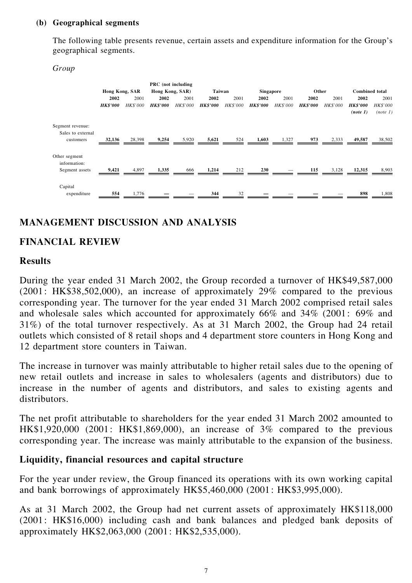#### (b) Geographical segments

The following table presents revenue, certain assets and expenditure information for the Group's geographical segments.

Group

|                                       |                 |                 | PRC (not including |                 |                 |                 |                 |                 |                 |                 |                       |                 |
|---------------------------------------|-----------------|-----------------|--------------------|-----------------|-----------------|-----------------|-----------------|-----------------|-----------------|-----------------|-----------------------|-----------------|
|                                       | Hong Kong, SAR  |                 | Hong Kong, SAR)    |                 | Taiwan          |                 | Singapore       |                 | Other           |                 | <b>Combined</b> total |                 |
|                                       | 2002            | 2001            | 2002               | 2001            | 2002            | 2001            | 2002            | 2001            | 2002            | 2001            | 2002                  | 2001            |
|                                       | <b>HK\$'000</b> | <b>HK\$'000</b> | <b>HK\$'000</b>    | <i>HK\$'000</i> | <b>HK\$'000</b> | <b>HK\$'000</b> | <b>HK\$'000</b> | <b>HK\$'000</b> | <b>HK\$'000</b> | <b>HK\$'000</b> | <b>HK\$'000</b>       | <b>HK\$'000</b> |
|                                       |                 |                 |                    |                 |                 |                 |                 |                 |                 |                 | (note 1)              | (note 1)        |
| Segment revenue:<br>Sales to external |                 |                 |                    |                 |                 |                 |                 |                 |                 |                 |                       |                 |
| customers                             | 32,136          | 28,398          | 9,254              | 5,920           | 5,621           | 524             | 1,603           | 1,327           | 973             | 2,333           | 49,587                | 38,502          |
| Other segment<br>information:         |                 | 4,897           | 1,335              |                 | 1,214           | 212             | 230             |                 | 115             | 3,128           | 12,315                | 8,903           |
| Segment assets                        | 9,421           |                 |                    | 666             |                 |                 |                 |                 |                 |                 |                       |                 |
| Capital                               |                 |                 |                    |                 |                 |                 |                 |                 |                 |                 |                       |                 |
| expenditure                           | 554             | 1,776           |                    |                 | 344             | 32              |                 |                 |                 |                 | 898                   | 1,808           |

# MANAGEMENT DISCUSSION AND ANALYSIS

# FINANCIAL REVIEW

### Results

During the year ended 31 March 2002, the Group recorded a turnover of HK\$49,587,000 (2001: HK\$38,502,000), an increase of approximately 29% compared to the previous corresponding year. The turnover for the year ended 31 March 2002 comprised retail sales and wholesale sales which accounted for approximately 66% and 34% (2001: 69% and 31%) of the total turnover respectively. As at 31 March 2002, the Group had 24 retail outlets which consisted of 8 retail shops and 4 department store counters in Hong Kong and 12 department store counters in Taiwan.

The increase in turnover was mainly attributable to higher retail sales due to the opening of new retail outlets and increase in sales to wholesalers (agents and distributors) due to increase in the number of agents and distributors, and sales to existing agents and distributors.

The net profit attributable to shareholders for the year ended 31 March 2002 amounted to HK\$1,920,000 (2001: HK\$1,869,000), an increase of 3% compared to the previous corresponding year. The increase was mainly attributable to the expansion of the business.

# Liquidity, financial resources and capital structure

For the year under review, the Group financed its operations with its own working capital and bank borrowings of approximately HK\$5,460,000 (2001: HK\$3,995,000).

As at 31 March 2002, the Group had net current assets of approximately HK\$118,000 (2001: HK\$16,000) including cash and bank balances and pledged bank deposits of approximately HK\$2,063,000 (2001: HK\$2,535,000).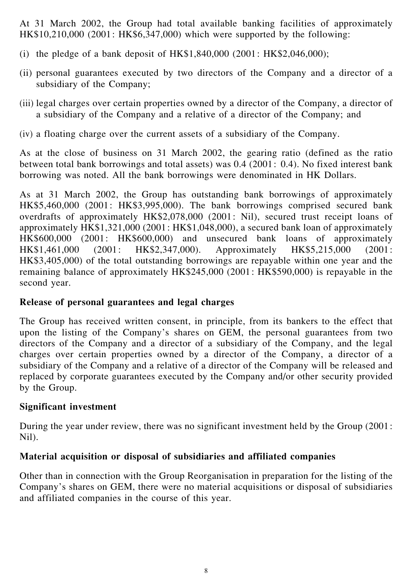At 31 March 2002, the Group had total available banking facilities of approximately HK\$10,210,000 (2001: HK\$6,347,000) which were supported by the following:

- (i) the pledge of a bank deposit of  $HK$1,840,000 (2001: HK$2,046,000);$
- (ii) personal guarantees executed by two directors of the Company and a director of a subsidiary of the Company;
- (iii) legal charges over certain properties owned by a director of the Company, a director of a subsidiary of the Company and a relative of a director of the Company; and
- (iv) a floating charge over the current assets of a subsidiary of the Company.

As at the close of business on 31 March 2002, the gearing ratio (defined as the ratio between total bank borrowings and total assets) was 0.4 (2001: 0.4). No fixed interest bank borrowing was noted. All the bank borrowings were denominated in HK Dollars.

As at 31 March 2002, the Group has outstanding bank borrowings of approximately HK\$5,460,000 (2001: HK\$3,995,000). The bank borrowings comprised secured bank overdrafts of approximately HK\$2,078,000 (2001: Nil), secured trust receipt loans of approximately HK\$1,321,000 (2001: HK\$1,048,000), a secured bank loan of approximately HK\$600,000 (2001: HK\$600,000) and unsecured bank loans of approximately HK\$1,461,000 (2001: HK\$2,347,000). Approximately HK\$5,215,000 (2001: HK\$3,405,000) of the total outstanding borrowings are repayable within one year and the remaining balance of approximately HK\$245,000 (2001: HK\$590,000) is repayable in the second year.

## Release of personal guarantees and legal charges

The Group has received written consent, in principle, from its bankers to the effect that upon the listing of the Company's shares on GEM, the personal guarantees from two directors of the Company and a director of a subsidiary of the Company, and the legal charges over certain properties owned by a director of the Company, a director of a subsidiary of the Company and a relative of a director of the Company will be released and replaced by corporate guarantees executed by the Company and/or other security provided by the Group.

# Significant investment

During the year under review, there was no significant investment held by the Group (2001: Nil).

# Material acquisition or disposal of subsidiaries and affiliated companies

Other than in connection with the Group Reorganisation in preparation for the listing of the Company's shares on GEM, there were no material acquisitions or disposal of subsidiaries and affiliated companies in the course of this year.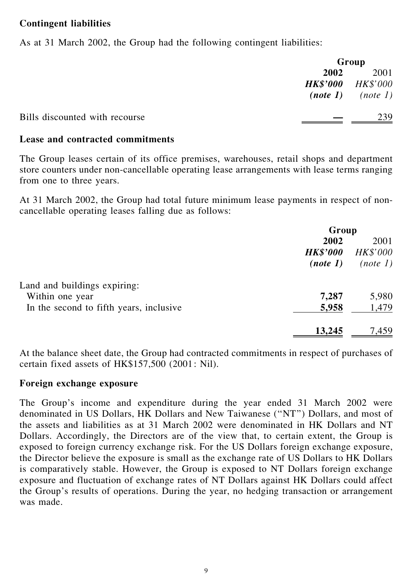### Contingent liabilities

As at 31 March 2002, the Group had the following contingent liabilities:

|                                |                          | Group                 |  |  |
|--------------------------------|--------------------------|-----------------------|--|--|
|                                | 2002                     | 2001                  |  |  |
|                                | <b>HK\$'000</b> HK\$'000 |                       |  |  |
|                                |                          | $(note 1)$ $(note 1)$ |  |  |
| Bills discounted with recourse |                          | 239                   |  |  |

### Lease and contracted commitments

The Group leases certain of its office premises, warehouses, retail shops and department store counters under non-cancellable operating lease arrangements with lease terms ranging from one to three years.

At 31 March 2002, the Group had total future minimum lease payments in respect of noncancellable operating leases falling due as follows:

|                                         |                 | Group           |  |  |
|-----------------------------------------|-----------------|-----------------|--|--|
|                                         | 2002            | 2001            |  |  |
|                                         | <b>HK\$'000</b> | <b>HK\$'000</b> |  |  |
|                                         | (note 1)        | (note 1)        |  |  |
| Land and buildings expiring:            |                 |                 |  |  |
| Within one year                         | 7,287           | 5,980           |  |  |
| In the second to fifth years, inclusive | 5,958           | 1,479           |  |  |
|                                         | 13,245          | 7,459           |  |  |

At the balance sheet date, the Group had contracted commitments in respect of purchases of certain fixed assets of HK\$157,500 (2001: Nil).

### Foreign exchange exposure

The Group's income and expenditure during the year ended 31 March 2002 were denominated in US Dollars, HK Dollars and New Taiwanese (''NT'') Dollars, and most of the assets and liabilities as at 31 March 2002 were denominated in HK Dollars and NT Dollars. Accordingly, the Directors are of the view that, to certain extent, the Group is exposed to foreign currency exchange risk. For the US Dollars foreign exchange exposure, the Director believe the exposure is small as the exchange rate of US Dollars to HK Dollars is comparatively stable. However, the Group is exposed to NT Dollars foreign exchange exposure and fluctuation of exchange rates of NT Dollars against HK Dollars could affect the Group's results of operations. During the year, no hedging transaction or arrangement was made.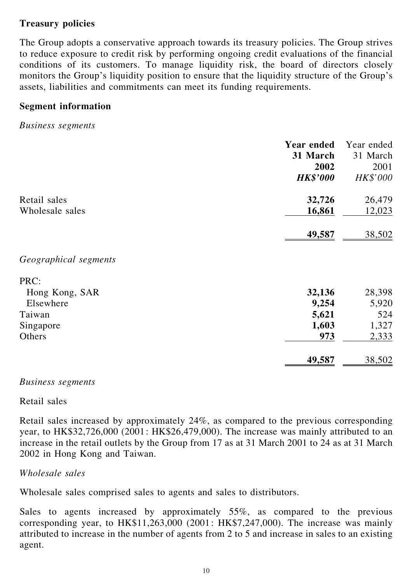# Treasury policies

The Group adopts a conservative approach towards its treasury policies. The Group strives to reduce exposure to credit risk by performing ongoing credit evaluations of the financial conditions of its customers. To manage liquidity risk, the board of directors closely monitors the Group's liquidity position to ensure that the liquidity structure of the Group's assets, liabilities and commitments can meet its funding requirements.

## Segment information

Business segments

| Year ended                | Year ended |
|---------------------------|------------|
| 31 March                  | 31 March   |
| 2002                      | 2001       |
| <b>HK\$'000</b>           | HK\$'000   |
| 32,726<br>Retail sales    | 26,479     |
| 16,861<br>Wholesale sales | 12,023     |
| 49,587                    | 38,502     |
| Geographical segments     |            |
| PRC:                      |            |
| 32,136<br>Hong Kong, SAR  | 28,398     |
| Elsewhere<br>9,254        | 5,920      |
| 5,621<br>Taiwan           | 524        |
| 1,603<br>Singapore        | 1,327      |
| Others<br>973             | 2,333      |
| 49,587                    | 38,502     |

Business segments

#### Retail sales

Retail sales increased by approximately 24%, as compared to the previous corresponding year, to HK\$32,726,000 (2001: HK\$26,479,000). The increase was mainly attributed to an increase in the retail outlets by the Group from 17 as at 31 March 2001 to 24 as at 31 March 2002 in Hong Kong and Taiwan.

### Wholesale sales

Wholesale sales comprised sales to agents and sales to distributors.

Sales to agents increased by approximately 55%, as compared to the previous corresponding year, to HK\$11,263,000 (2001: HK\$7,247,000). The increase was mainly attributed to increase in the number of agents from 2 to 5 and increase in sales to an existing agent.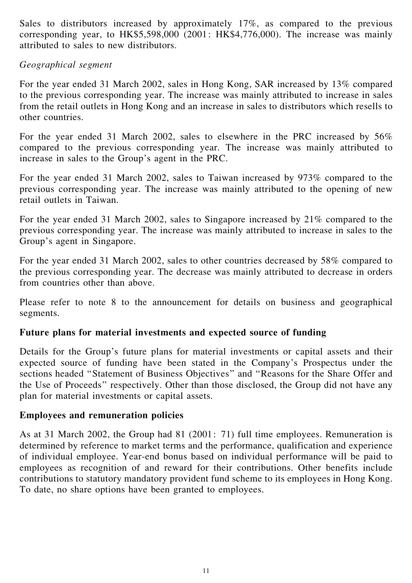Sales to distributors increased by approximately 17%, as compared to the previous corresponding year, to HK\$5,598,000 (2001: HK\$4,776,000). The increase was mainly attributed to sales to new distributors.

### Geographical segment

For the year ended 31 March 2002, sales in Hong Kong, SAR increased by 13% compared to the previous corresponding year. The increase was mainly attributed to increase in sales from the retail outlets in Hong Kong and an increase in sales to distributors which resells to other countries.

For the year ended 31 March 2002, sales to elsewhere in the PRC increased by 56% compared to the previous corresponding year. The increase was mainly attributed to increase in sales to the Group's agent in the PRC.

For the year ended 31 March 2002, sales to Taiwan increased by 973% compared to the previous corresponding year. The increase was mainly attributed to the opening of new retail outlets in Taiwan.

For the year ended 31 March 2002, sales to Singapore increased by 21% compared to the previous corresponding year. The increase was mainly attributed to increase in sales to the Group's agent in Singapore.

For the year ended 31 March 2002, sales to other countries decreased by 58% compared to the previous corresponding year. The decrease was mainly attributed to decrease in orders from countries other than above.

Please refer to note 8 to the announcement for details on business and geographical segments.

### Future plans for material investments and expected source of funding

Details for the Group's future plans for material investments or capital assets and their expected source of funding have been stated in the Company's Prospectus under the sections headed ''Statement of Business Objectives'' and ''Reasons for the Share Offer and the Use of Proceeds'' respectively. Other than those disclosed, the Group did not have any plan for material investments or capital assets.

#### Employees and remuneration policies

As at 31 March 2002, the Group had 81 (2001: 71) full time employees. Remuneration is determined by reference to market terms and the performance, qualification and experience of individual employee. Year-end bonus based on individual performance will be paid to employees as recognition of and reward for their contributions. Other benefits include contributions to statutory mandatory provident fund scheme to its employees in Hong Kong. To date, no share options have been granted to employees.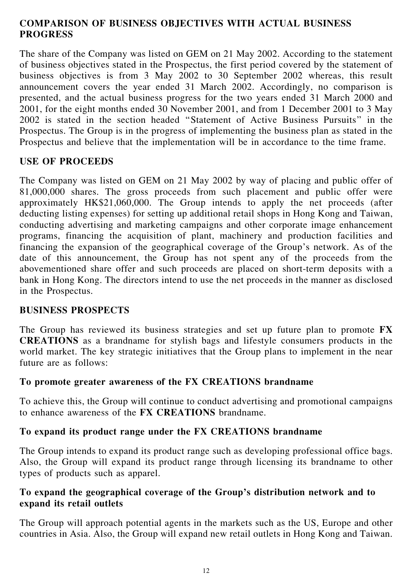# COMPARISON OF BUSINESS OBJECTIVES WITH ACTUAL BUSINESS PROGRESS

The share of the Company was listed on GEM on 21 May 2002. According to the statement of business objectives stated in the Prospectus, the first period covered by the statement of business objectives is from 3 May 2002 to 30 September 2002 whereas, this result announcement covers the year ended 31 March 2002. Accordingly, no comparison is presented, and the actual business progress for the two years ended 31 March 2000 and 2001, for the eight months ended 30 November 2001, and from 1 December 2001 to 3 May 2002 is stated in the section headed ''Statement of Active Business Pursuits'' in the Prospectus. The Group is in the progress of implementing the business plan as stated in the Prospectus and believe that the implementation will be in accordance to the time frame.

# USE OF PROCEEDS

The Company was listed on GEM on 21 May 2002 by way of placing and public offer of 81,000,000 shares. The gross proceeds from such placement and public offer were approximately HK\$21,060,000. The Group intends to apply the net proceeds (after deducting listing expenses) for setting up additional retail shops in Hong Kong and Taiwan, conducting advertising and marketing campaigns and other corporate image enhancement programs, financing the acquisition of plant, machinery and production facilities and financing the expansion of the geographical coverage of the Group's network. As of the date of this announcement, the Group has not spent any of the proceeds from the abovementioned share offer and such proceeds are placed on short-term deposits with a bank in Hong Kong. The directors intend to use the net proceeds in the manner as disclosed in the Prospectus.

# BUSINESS PROSPECTS

The Group has reviewed its business strategies and set up future plan to promote FX CREATIONS as a brandname for stylish bags and lifestyle consumers products in the world market. The key strategic initiatives that the Group plans to implement in the near future are as follows:

# To promote greater awareness of the FX CREATIONS brandname

To achieve this, the Group will continue to conduct advertising and promotional campaigns to enhance awareness of the FX CREATIONS brandname.

# To expand its product range under the FX CREATIONS brandname

The Group intends to expand its product range such as developing professional office bags. Also, the Group will expand its product range through licensing its brandname to other types of products such as apparel.

# To expand the geographical coverage of the Group's distribution network and to expand its retail outlets

The Group will approach potential agents in the markets such as the US, Europe and other countries in Asia. Also, the Group will expand new retail outlets in Hong Kong and Taiwan.